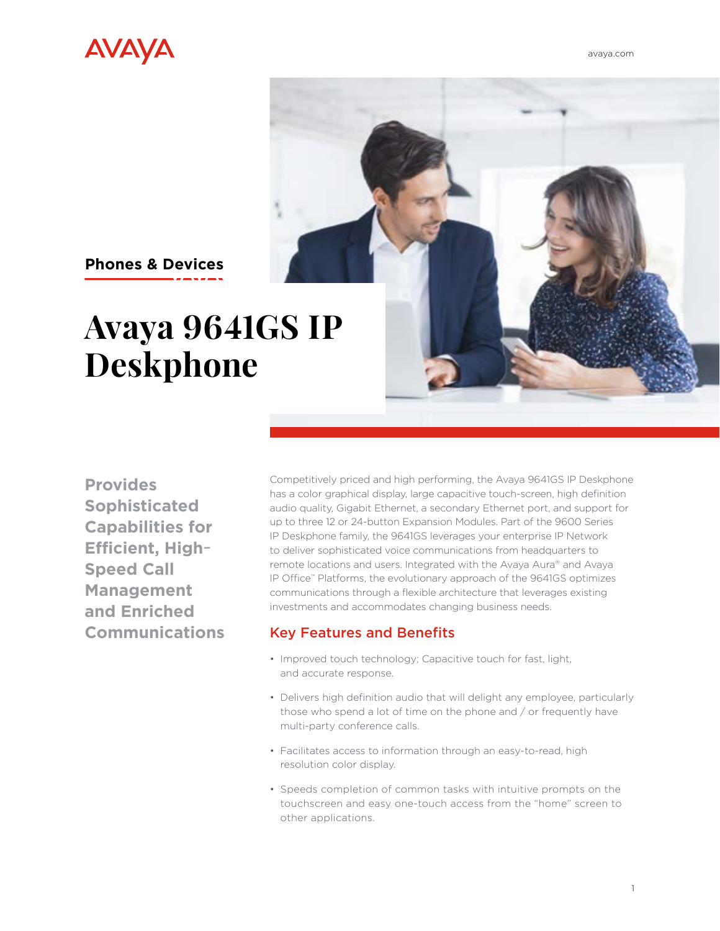



## **Phones & Devices**

# **Avaya 9641GS IP Deskphone**

**Provides Sophisticated Capabilities for Efficient, High-Speed Call Management and Enriched Communications**

Competitively priced and high performing, the Avaya 9641GS IP Deskphone has a color graphical display, large capacitive touch-screen, high definition audio quality, Gigabit Ethernet, a secondary Ethernet port, and support for up to three 12 or 24-button Expansion Modules. Part of the 9600 Series IP Deskphone family, the 9641GS leverages your enterprise IP Network to deliver sophisticated voice communications from headquarters to remote locations and users. Integrated with the Avaya Aura® and Avaya IP Office™ Platforms, the evolutionary approach of the 9641GS optimizes communications through a flexible architecture that leverages existing investments and accommodates changing business needs.

#### Key Features and Benefits

- Improved touch technology; Capacitive touch for fast, light, and accurate response.
- Delivers high definition audio that will delight any employee, particularly those who spend a lot of time on the phone and / or frequently have multi-party conference calls.
- Facilitates access to information through an easy-to-read, high resolution color display.
- Speeds completion of common tasks with intuitive prompts on the touchscreen and easy one-touch access from the "home" screen to other applications.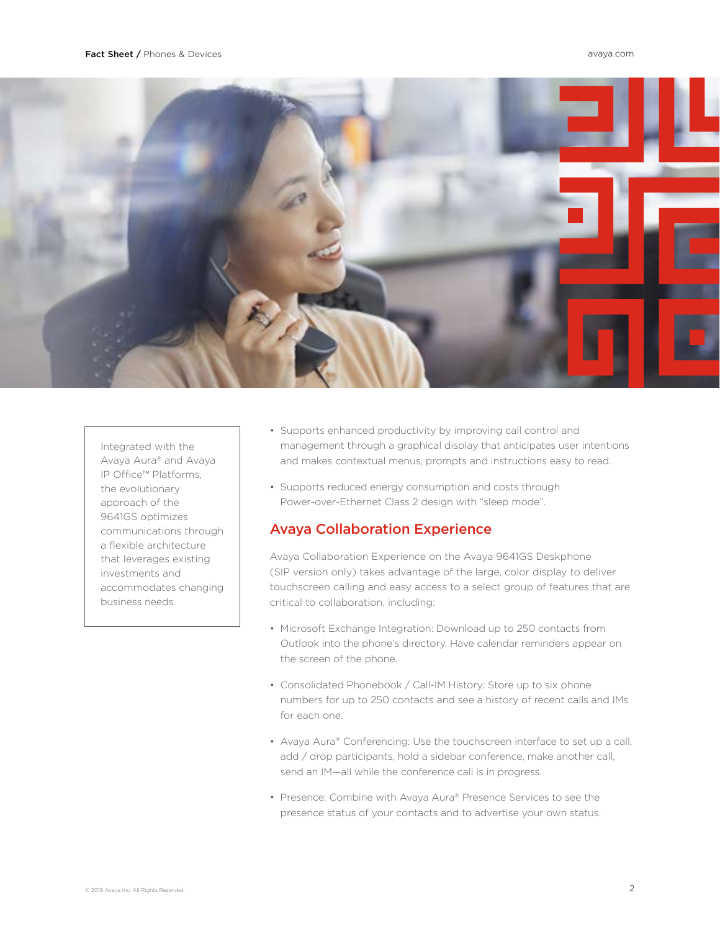

Integrated with the Avaya Aura® and Avaya IP Office™ Platforms, the evolutionary approach of the 9641GS optimizes communications through a flexible architecture that leverages existing investments and accommodates changing business needs.

- Supports enhanced productivity by improving call control and management through a graphical display that anticipates user intentions and makes contextual menus, prompts and instructions easy to read.
- Supports reduced energy consumption and costs through Power-over-Ethernet Class 2 design with "sleep mode".

#### Avaya Collaboration Experience

Avaya Collaboration Experience on the Avaya 9641GS Deskphone (SIP version only) takes advantage of the large, color display to deliver touchscreen calling and easy access to a select group of features that are critical to collaboration, including:

- Microsoft Exchange Integration: Download up to 250 contacts from Outlook into the phone's directory. Have calendar reminders appear on the screen of the phone.
- Consolidated Phonebook / Call-IM History: Store up to six phone numbers for up to 250 contacts and see a history of recent calls and IMs for each one.
- Avaya Aura® Conferencing: Use the touchscreen interface to set up a call, add / drop participants, hold a sidebar conference, make another call, send an IM—all while the conference call is in progress.
- Presence: Combine with Avaya Aura® Presence Services to see the presence status of your contacts and to advertise your own status.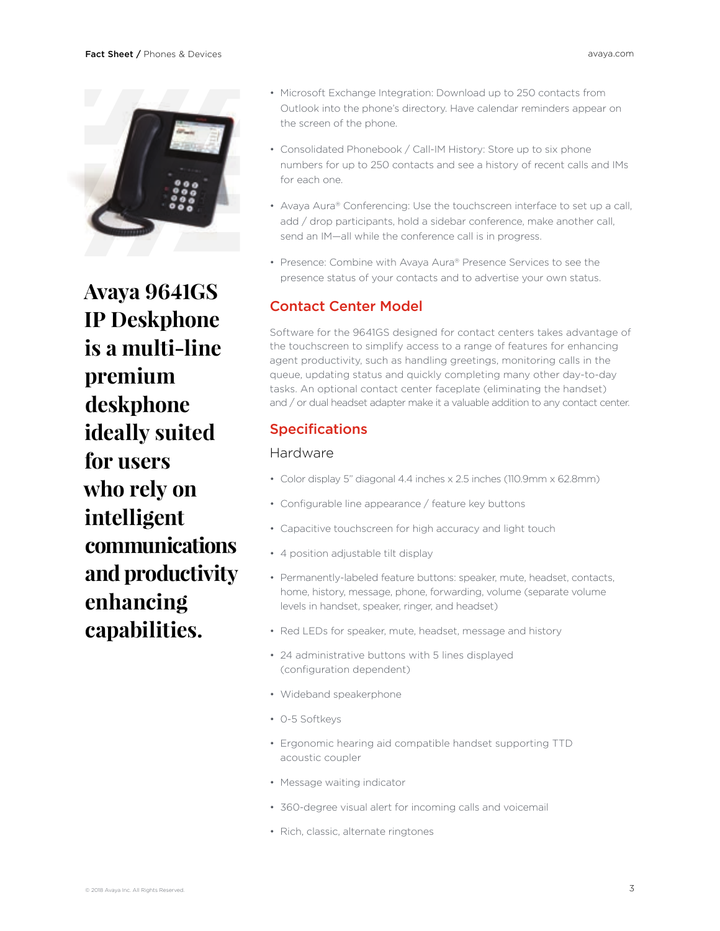

**Avaya 9641GS IP Deskphone is a multi-line premium deskphone ideally suited for users who rely on intelligent communications and productivity enhancing capabilities.**

- Microsoft Exchange Integration: Download up to 250 contacts from Outlook into the phone's directory. Have calendar reminders appear on the screen of the phone.
- Consolidated Phonebook / Call-IM History: Store up to six phone numbers for up to 250 contacts and see a history of recent calls and IMs for each one.
- Avaya Aura® Conferencing: Use the touchscreen interface to set up a call, add / drop participants, hold a sidebar conference, make another call, send an IM—all while the conference call is in progress.
- Presence: Combine with Avaya Aura® Presence Services to see the presence status of your contacts and to advertise your own status.

#### Contact Center Model

Software for the 9641GS designed for contact centers takes advantage of the touchscreen to simplify access to a range of features for enhancing agent productivity, such as handling greetings, monitoring calls in the queue, updating status and quickly completing many other day-to-day tasks. An optional contact center faceplate (eliminating the handset) and / or dual headset adapter make it a valuable addition to any contact center.

### Specifications

#### Hardware

- Color display 5" diagonal 4.4 inches x 2.5 inches (110.9mm x 62.8mm)
- Configurable line appearance / feature key buttons
- Capacitive touchscreen for high accuracy and light touch
- 4 position adjustable tilt display
- Permanently-labeled feature buttons: speaker, mute, headset, contacts, home, history, message, phone, forwarding, volume (separate volume levels in handset, speaker, ringer, and headset)
- Red LEDs for speaker, mute, headset, message and history
- 24 administrative buttons with 5 lines displayed (configuration dependent)
- Wideband speakerphone
- 0-5 Softkeys
- Ergonomic hearing aid compatible handset supporting TTD acoustic coupler
- Message waiting indicator
- 360-degree visual alert for incoming calls and voicemail
- Rich, classic, alternate ringtones